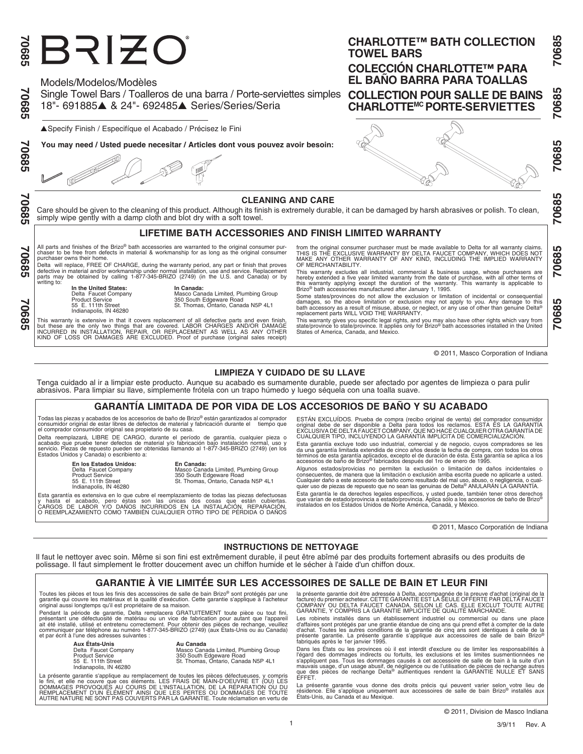# BRIZO

Single Towel Bars / Toalleros de una barra / Porte-serviettes simples **COLLECTION POUR SALLE DE BAINS** Models/Modelos/Modèles 18"- 691885▲ & 24"- 692485▲ Series/Series/Seria

▲Specify Finish / Especifíque el Acabado / Précisez le Fini

**You may need / Usted puede necesitar / Articles dont vous pouvez avoir besoin:**

**COMMENT** 

# **70685 70685 70685 70685 70685 70685 70685**

58902

8902

70685

70685

### **CLEANING AND CARE**

Care should be given to the cleaning of this product. Although its finish is extremely durable, it can be damaged by harsh abrasives or polish. To clean, simply wipe gently with a damp cloth and blot dry with a soft towel.

# **LIFETIME BATH ACCESSORIES AND FINISH LIMITED WARRANTY**

All parts and finishes of the Brizo® bath accessories are warranted to the original consumer pur-<br>chaser to be free from defects in material & workmanship for as long as the original consumer<br>purchaser owns their home.

.<br>Delta will replace, FREE OF CHARGE, during the warranty period, any part or finish that proves<br>defective in material and/or workmanship under normal installation, use and service. Replacement<br>parts may be obtained by cal writing to:

**In the United States: In Canada:**<br>
Delta Faucet Company **Masco Can<br>
Product Service 350 South I** Indianapolis, IN 46280

Delta Faucet Company Masco Canada Limited, Plumbing Group Product Service 350 South Edgeware Road 55 E. 111th Street St. Thomas, Ontario, Canada N5P 4L1

This warranty is extensive in that it covers replacement of all defective parts and even finish,<br>but these are the only two things that are covered. LABOR CHARGES AND/OR DAMAGE<br>INCURRED IN INSTALLATION, REPAIR, OR REPLACEM

from the original consumer purchaser must be made available to Delta for all warranty claims.<br>THIS IS THE EXCLUSIVE WARRANTY BY DELTA FAUCET COMPANY, WHICH DOES NOT<br>MAKE ANY OTHER WARRANTY OF ANY KIND, INCLUDING THE IMPLIE OF MERCHANTABILITY.

This warranty excludes all industrial, commercial & business usage, whose purchasers are hereby extended a five year limited warranty from the date of purchase, with all other terms of<br>this warranty applying except the duration of the warranty. This warranty is applicable to<br>Brizo® bath accessories manufacture

Some states/provinces do not allow the exclusion or limitation of incidental or consequential damages, so the above limitation or exclusion may not apply to you. Any damage to this<br>bath accessory as a result of misuse, abuse, or neglect, or any use of other than genuine Delta®<br>replacement parts WILL VOID THE WARRAN

This warranty gives you specific legal rights, and you may also have other rights which vary from<br>state/province to state/province. It applies only for Brizo® bath accessories installed in the United<br>States of America, Can

© 2011, Masco Corporation of Indiana

# **LIMPIEZA Y CUIDADO DE SU LLAVE**

Tenga cuidado al ir a limpiar este producto. Aunque su acabado es sumamente durable, puede ser afectado por agentes de limpieza o para pulir abrasivos. Para limpiar su llave, simplemente frótela con un trapo húmedo y luego séquela con una toalla suave.

## **GARANTÍA LIMITADA DE POR VIDA DE LOS ACCESORIOS DE BAÑO Y SU ACABADO**

Todas las piezas y acabados de los accesorios de baño de Brizo® están garantizados al comprador<br>consumidor original de estar libres de defectos de material y fabricación durante el tiempo que<br>el comprador consumidor ori

reemplazará, LIBRE DE CARGO, durante el período de garantía, cualquier pieza o acabado que pruebe tener defectos de material y/o fabricación bajo instalación normal, uso y<br>servicio. Piezas de repuesto pueden ser obtenidas llamando al 1-877-345-BRIZO (2749) (en los<br>Estados Unidos y Canada) o escribien

**En los Estados Unidos: En Canada:**<br>
Delta Faucet Company Masco Cana<br>
Product Service 350 South E

Delta Faucet Company Masco Canada Limited, Plumbing Group Product Service 350 South Edgeware Road 55 E. 111th Street St. Thomas, Ontario, Canada N5P 4L1 Indianapolis, IN 46280

Esta garantía es extensiva en lo que cubre el reemplazamiento de todas las piezas defectuosas<br>y hasta el acabado, pero éstas son las unicas dos cosas que están cubiertas.<br>CARGOS DE LABOR Y/O DAÑOS INCURRI

ESTÁN EXCLUÍDOS. Prueba de compra (recibo original de venta) del comprador consumidor<br>original debe de ser disponible a Delta para todos los reclamos. ESTA ES LA GARANTÍA<br>EXCLUSIVA DE DELTA FAUCET COMPANY, QUE NO HACE CUAL CUALQUIER TIPO, INCLUYENDO LA GARANTÍA IMPLÍCITA DE COMERCIALIZACIÓN.

Esta garantía excluye todo uso industrial, comercial y de negocio, cuyos compradores se les<br>da una garantía limitada extendida de cinco años desde la fecha de compra, con todos los otros<br>términos de esta garantía aplicados

Algunos estados/provicias no permiten la exclusión o limitación de daños incidentales o<br>consecuentes, de manera que la limitación o exclusión arriba escrita puede no aplicarle a usted.<br>Cualquier daño a este accesorio de ba Esta garantía le da derechos legales específicos, y usted puede, también tener otros derechos<br>que varían de estado/provincia a estado/provincia. Aplica sólo a los accesorios de baño de Brizo®<br>instalados en los Estados Unid

© 2011, Masco Corporatión de Indiana

# **INSTRUCTIONS DE NETTOYAGE**

Il faut le nettoyer avec soin. Même si son fini est extrêmement durable, il peut être abîmé par des produits fortement abrasifs ou des produits de polissage. Il faut simplement le frotter doucement avec un chiffon humide et le sécher à l'aide d'un chiffon doux.

# **GARANTIE À VIE LIMITÉE SUR LES ACCESSOIRES DE SALLE DE BAIN ET LEUR FINI**

1

Toutes les pièces et tous les finis des accessoires de salle de bain Brizo® sont protégés par une garantie qui couvre les matériaux et la qualité d'exécution. Cette garantie s'applique à l'acheteur original aussi longtemps qu'il est propriétaire de sa maison.

Pendant la période de garantie, Delta remplacera GRATUITEMENT toute pièce ou tout fini,<br>présentant une défectuosité de matériau ou un vice de fabrication pour autant que l'appareil<br>ait été installé, utilisé et entretenu co communiquer par téléphone au numéro 1-877-345-BRIZO (2749) (aux États-Unis ou au Canada) et par écrit à l'une des adresses suivantes :

**Aux États-Unis**<br> **Au Canada**<br> **Product Service**<br> **Product Service**<br> **55** E. 111th Street<br> **1987 Constrained Street**<br> **1987 Street Street** Indianapolis, IN 46280

Delta Faucet Company Masco Canada Limited, Plumbing Group Product Service 350 South Edgeware Road 55 E. 111th Street St. Thomas, Ontario, Canada N5P 4L1

La présente garantie s'applique au remplacement de toutes les pièces défectueuses, y compris<br>le fini, et elle ne couvre que ces éléments. LES FRAIS DE MAIN-D'OEUVRE ET (OU) LES<br>DOMMAGES PROVOQUÉS AU COURS DE L'INSTALLATION AUTRE NATURE NE SONT PAS COUVERTS PAR LA GARANTIE. Toute réclamation en vertu de

la présente garantie doit être adressée à Delta, accompagnée de la preuve d'achat (original de la<br>facture) du premier acheteur. CETTE GARANTIE EST LA SEULE OFFERTE PAR DELTA FAUCET<br>COMPANY OU DELTA FAUCET CANADA, SELON LE

Les robinets installés dans un établissement industriel ou commercial ou dans une place d'affaires sont protégés par une grantie étandue de cinq ans qui prend effet à compter de la date<br>d'achat. Toutes les autres conditions de la garantie de cinq ans sont identiques à celle de la<br>présente garantie. La présent

Dans les États ou les provinces où il est interdit d'exclure ou de limiter les responsabilités à l'égard des dommages indirects ou fortuits, les exclusions et les limites susmentionnées ne<br>s'appliquent pas. Tous les dommages causés à cet accessoire de salle de bain à la suite d'un<br>mauvais usage, d'un usage abusif, de EFFET.

La présente garantie vous donne des droits précis qui peuvent varier selon votre lieu de<br>résidence. Elle s'applique uniquement aux accessoires de salle de bain Brizo® installés aux<br>États-Unis, au Canada et au Mexique.

70685

**0685** 

70685

70685

# **CHARLOTTE™ BATH COLLECTION TOWEL BARS**

**COLECCIÓN CHARLOTTE™ PARA EL BAÑO BARRA PARA TOALLAS CHARLOTTEMC PORTE-SERVIETTES**